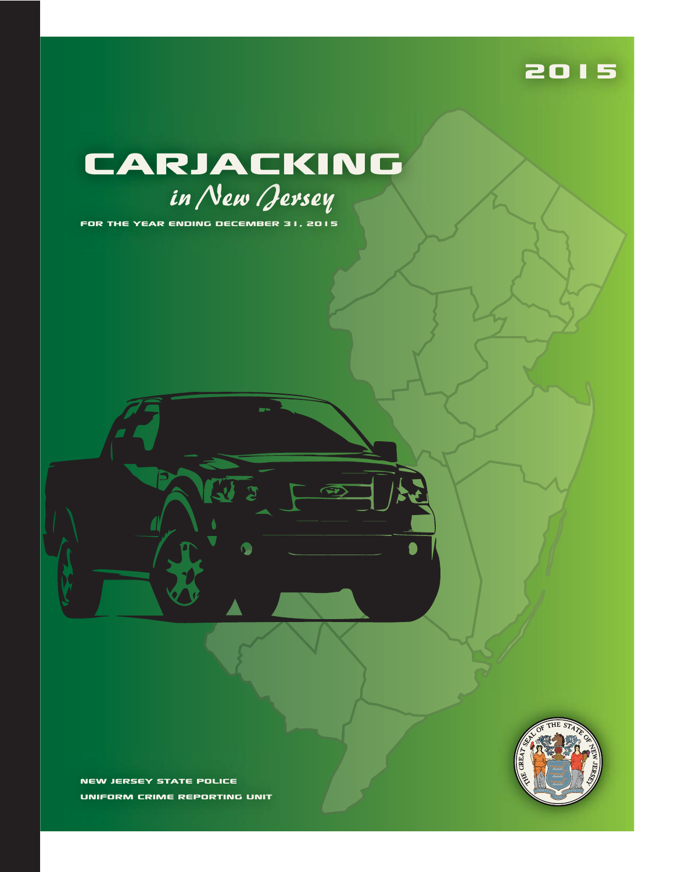#### 2015

# in New Jersey CARJACKING

 $\bullet$ 

FOR THE YEAR ENDING DECEMBER 31, 2015

NEW JERSEY STATE POLICE UNIFORM CRIME REPORTING UNIT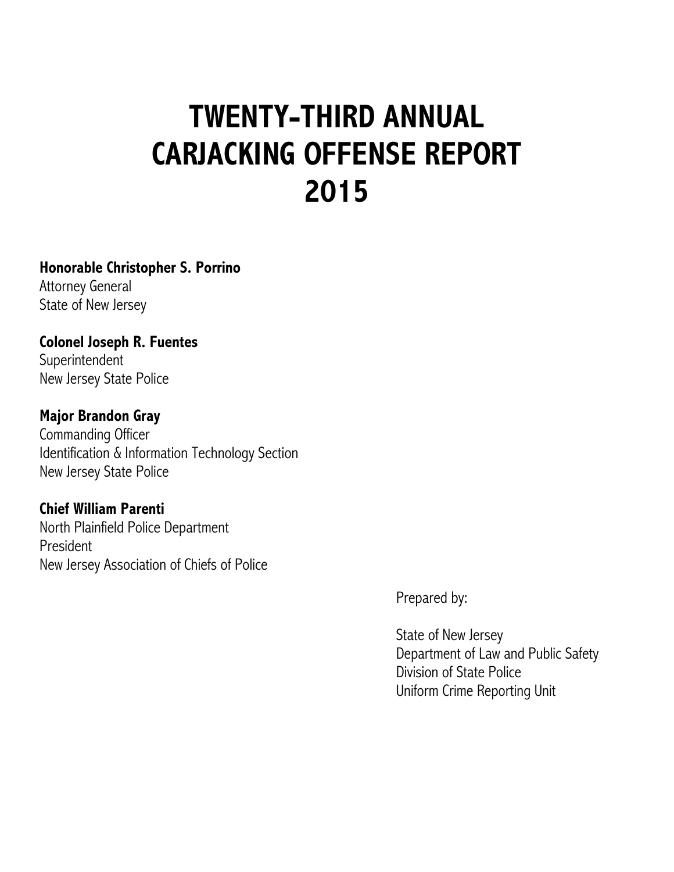# **TWENTY-THIRD ANNUAL CARJACKING OFFENSE REPORT 2015**

#### **Honorable Christopher S. Porrino**

Attorney General State of New Jersey

**Colonel Joseph R. Fuentes** Superintendent New Jersey State Police

#### **Major Brandon Gray**

Commanding Officer Identification & Information Technology Section New Jersey State Police

#### **Chief William Parenti**

North Plainfield Police Department President New Jersey Association of Chiefs of Police

Prepared by:

State of New Jersey Department of Law and Public Safety Division of State Police Uniform Crime Reporting Unit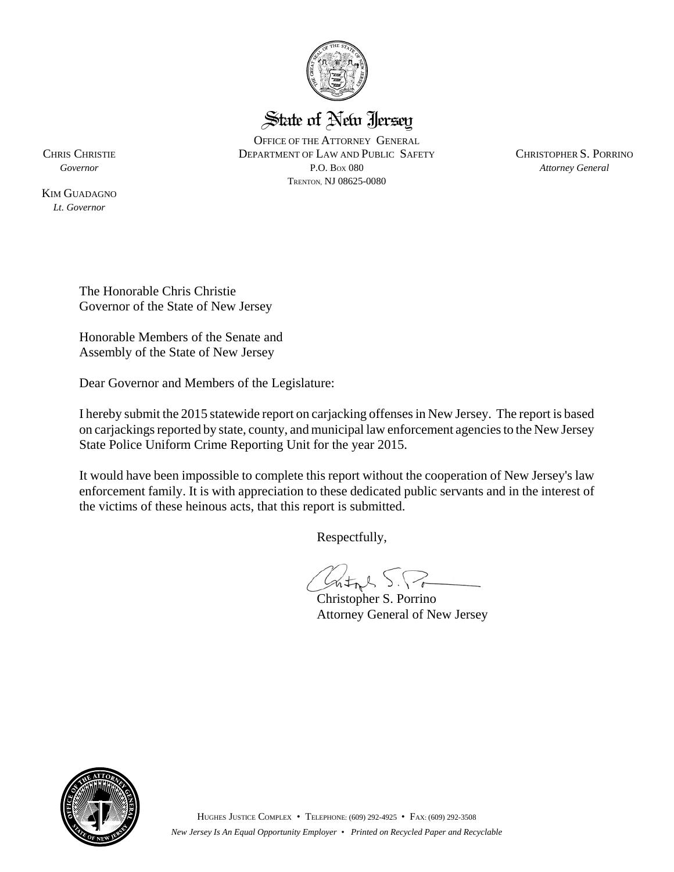

#### State of New Jersey

OFFICE OF THE ATTORNEY GENERAL CHRIS CHRISTIE DEPARTMENT OF LAW AND PUBLIC SAFETY CHRISTOPHER S. PORRINO *Governor* P.O. BOX 080 *Attorney General* TRENTON, NJ 08625-0080

KIM GUADAGNO *Lt. Governor*

> The Honorable Chris Christie Governor of the State of New Jersey

Honorable Members of the Senate and Assembly of the State of New Jersey

Dear Governor and Members of the Legislature:

I hereby submit the 2015 statewide report on carjacking offenses in New Jersey. The report is based on carjackings reported by state, county, and municipal law enforcement agencies to the New Jersey State Police Uniform Crime Reporting Unit for the year 2015.

It would have been impossible to complete this report without the cooperation of New Jersey's law enforcement family. It is with appreciation to these dedicated public servants and in the interest of the victims of these heinous acts, that this report is submitted.

Respectfully,

Crital S.Po

Christopher S. Porrino Attorney General of New Jersey

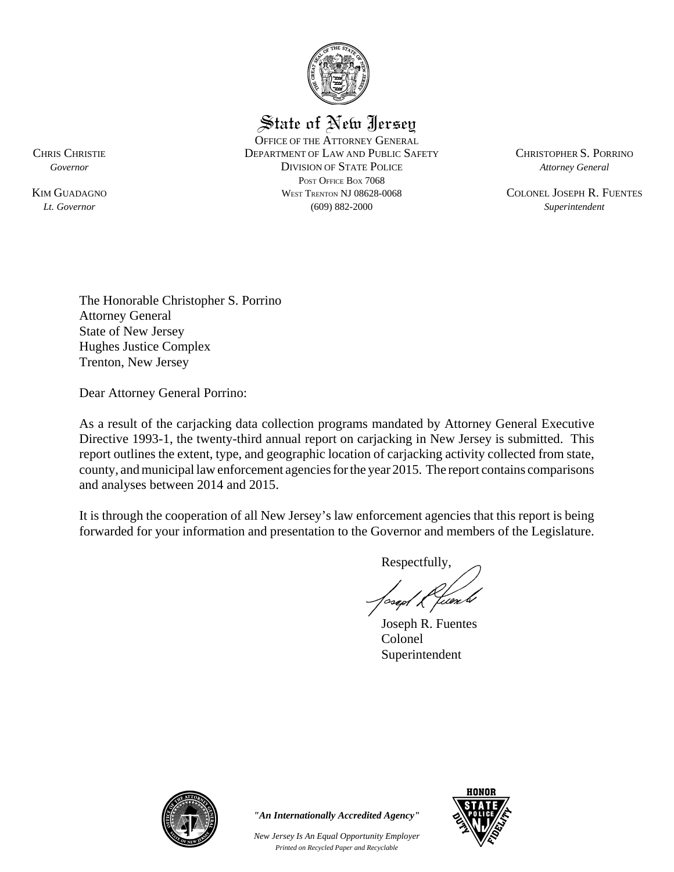

State of New Jersey

OFFICE OF THE ATTORNEY GENERAL CHRIS CHRISTIE DEPARTMENT OF LAW AND PUBLIC SAFETY CHRISTOPHER S. PORRINO *Governor* DIVISION OF STATE POLICE *Attorney General* POST OFFICE BOX 7068 KIM GUADAGNO **WEST TRENTON NJ 08628-0068** COLONEL JOSEPH R. FUENTES *Lt. Governor* (609) 882-2000 *Superintendent*

The Honorable Christopher S. Porrino Attorney General State of New Jersey Hughes Justice Complex Trenton, New Jersey

Dear Attorney General Porrino:

As a result of the carjacking data collection programs mandated by Attorney General Executive Directive 1993-1, the twenty-third annual report on carjacking in New Jersey is submitted. This report outlines the extent, type, and geographic location of carjacking activity collected from state, county, and municipal law enforcement agencies for the year 2015. The report contains comparisons and analyses between 2014 and 2015.

It is through the cooperation of all New Jersey's law enforcement agencies that this report is being forwarded for your information and presentation to the Governor and members of the Legislature.

Respectfully,

t cen b

Joseph R. Fuentes Colonel Superintendent



*"An Internationally Accredited Agency"*

*New Jersey Is An Equal Opportunity Employer Printed on Recycled Paper and Recyclable*

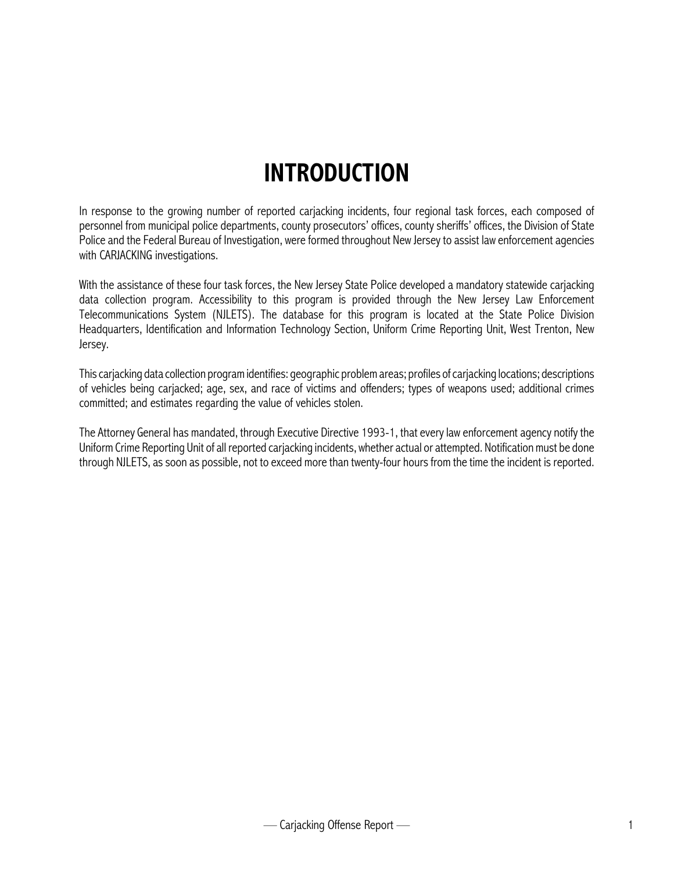### **INTRODUCTION**

In response to the growing number of reported carjacking incidents, four regional task forces, each composed of personnel from municipal police departments, county prosecutors' offices, county sheriffs' offices, the Division of State Police and the Federal Bureau of Investigation, were formed throughout New Jersey to assist law enforcement agencies with CARJACKING investigations.

With the assistance of these four task forces, the New Jersey State Police developed a mandatory statewide carjacking data collection program. Accessibility to this program is provided through the New Jersey Law Enforcement Telecommunications System (NJLETS). The database for this program is located at the State Police Division Headquarters, Identification and Information Technology Section, Uniform Crime Reporting Unit, West Trenton, New Jersey.

This carjacking data collection program identifies: geographic problem areas; profiles of carjacking locations; descriptions of vehicles being carjacked; age, sex, and race of victims and offenders; types of weapons used; additional crimes committed; and estimates regarding the value of vehicles stolen.

The Attorney General has mandated, through Executive Directive 1993-1, that every law enforcement agency notify the Uniform Crime Reporting Unit of all reported carjacking incidents, whether actual or attempted. Notification must be done through NJLETS, as soon as possible, not to exceed more than twenty-four hours from the time the incident is reported.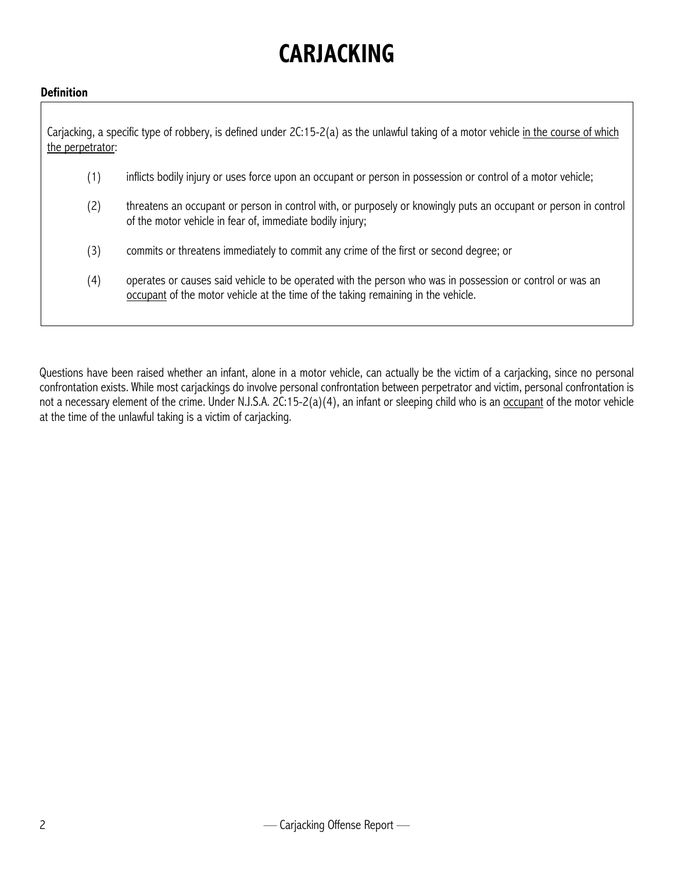## **CARJACKING**

#### **Definition**

Carjacking, a specific type of robbery, is defined under 2C:15-2(a) as the unlawful taking of a motor vehicle in the course of which the perpetrator:

- (1) inflicts bodily injury or uses force upon an occupant or person in possession or control of a motor vehicle;
- (2) threatens an occupant or person in control with, or purposely or knowingly puts an occupant or person in control of the motor vehicle in fear of, immediate bodily injury;
- (3) commits or threatens immediately to commit any crime of the first or second degree; or
- (4) operates or causes said vehicle to be operated with the person who was in possession or control or was an occupant of the motor vehicle at the time of the taking remaining in the vehicle.

Questions have been raised whether an infant, alone in a motor vehicle, can actually be the victim of a carjacking, since no personal confrontation exists. While most carjackings do involve personal confrontation between perpetrator and victim, personal confrontation is not a necessary element of the crime. Under N.J.S.A. 2C:15-2(a)(4), an infant or sleeping child who is an occupant of the motor vehicle at the time of the unlawful taking is a victim of carjacking.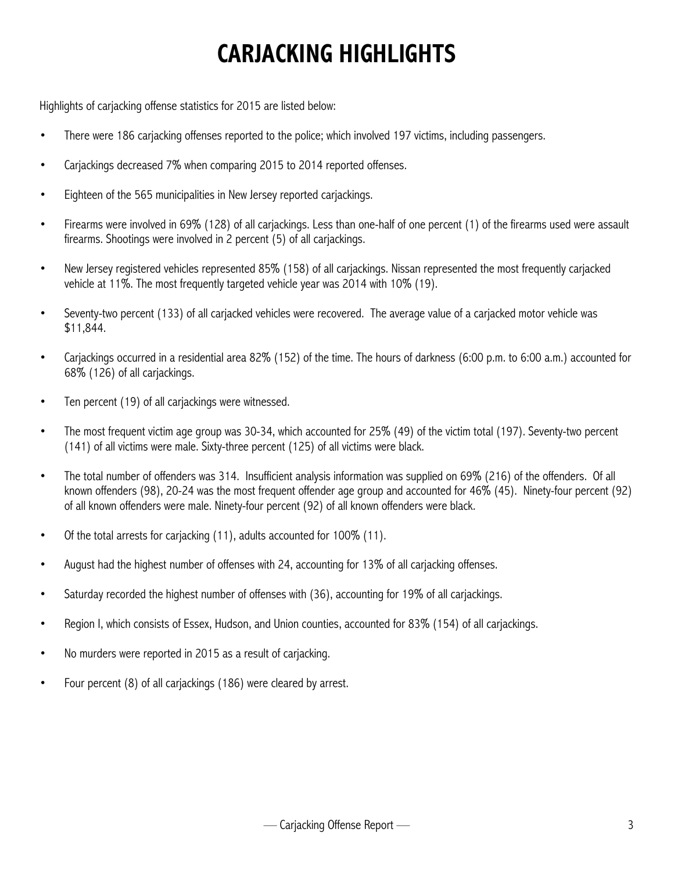## **CARJACKING HIGHLIGHTS**

Highlights of carjacking offense statistics for 2015 are listed below:

- There were 186 carjacking offenses reported to the police; which involved 197 victims, including passengers.
- Carjackings decreased 7% when comparing 2015 to 2014 reported offenses.
- Eighteen of the 565 municipalities in New Jersey reported carjackings.
- Firearms were involved in 69% (128) of all carjackings. Less than one-half of one percent (1) of the firearms used were assault firearms. Shootings were involved in 2 percent (5) of all carjackings.
- New Jersey registered vehicles represented 85% (158) of all carjackings. Nissan represented the most frequently carjacked vehicle at 11%. The most frequently targeted vehicle year was 2014 with 10% (19).
- Seventy-two percent (133) of all carjacked vehicles were recovered. The average value of a carjacked motor vehicle was \$11,844.
- Carjackings occurred in a residential area 82% (152) of the time. The hours of darkness (6:00 p.m. to 6:00 a.m.) accounted for 68% (126) of all carjackings.
- Ten percent (19) of all carjackings were witnessed.
- The most frequent victim age group was 30-34, which accounted for 25% (49) of the victim total (197). Seventy-two percent (141) of all victims were male. Sixty-three percent (125) of all victims were black.
- The total number of offenders was 314. Insufficient analysis information was supplied on 69% (216) of the offenders. Of all known offenders (98), 20-24 was the most frequent offender age group and accounted for 46% (45). Ninety-four percent (92) of all known offenders were male. Ninety-four percent (92) of all known offenders were black.
- Of the total arrests for carjacking (11), adults accounted for 100% (11).
- August had the highest number of offenses with 24, accounting for 13% of all carjacking offenses.
- Saturday recorded the highest number of offenses with (36), accounting for 19% of all carjackings.
- Region I, which consists of Essex, Hudson, and Union counties, accounted for 83% (154) of all carjackings.
- No murders were reported in 2015 as a result of carjacking.
- Four percent (8) of all carjackings (186) were cleared by arrest.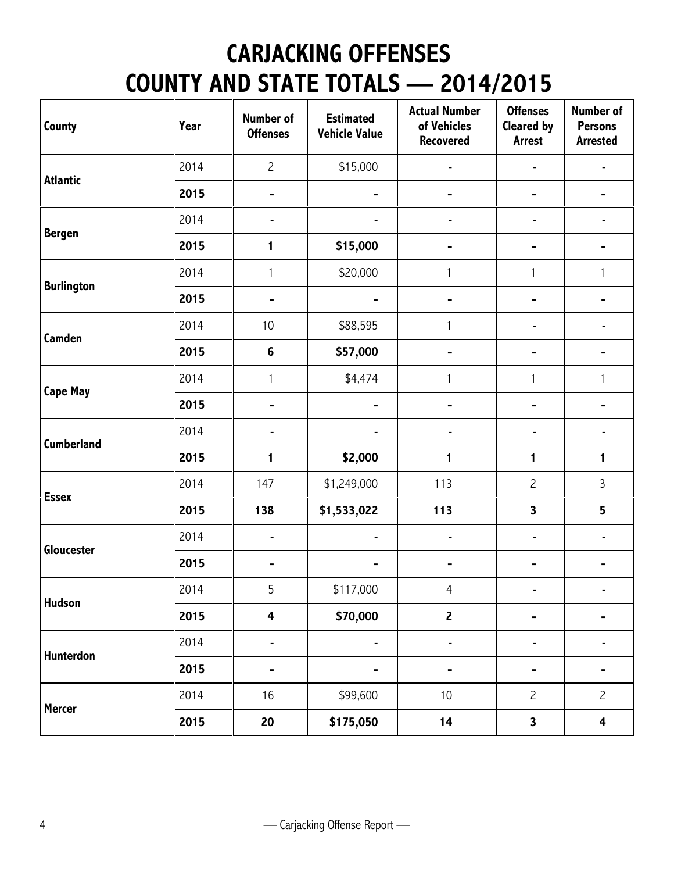## **CARJACKING OFFENSES COUNTY AND STATE TOTALS — 2014/2015**

| County            | Year | <b>Number of</b><br><b>Offenses</b> | <b>Estimated</b><br><b>Vehicle Value</b> | <b>Actual Number</b><br>of Vehicles<br><b>Recovered</b> | <b>Offenses</b><br><b>Cleared by</b><br><b>Arrest</b> | Number of<br><b>Persons</b><br><b>Arrested</b> |
|-------------------|------|-------------------------------------|------------------------------------------|---------------------------------------------------------|-------------------------------------------------------|------------------------------------------------|
| <b>Atlantic</b>   | 2014 | $\overline{c}$                      | \$15,000                                 |                                                         |                                                       |                                                |
|                   | 2015 | -                                   |                                          |                                                         |                                                       |                                                |
|                   | 2014 | $\overline{\phantom{a}}$            |                                          |                                                         |                                                       |                                                |
| <b>Bergen</b>     | 2015 | 1                                   | \$15,000                                 |                                                         |                                                       |                                                |
|                   | 2014 | $\mathbf{1}$                        | \$20,000                                 | $\mathbf{1}$                                            | 1                                                     | 1                                              |
| <b>Burlington</b> | 2015 |                                     |                                          |                                                         |                                                       |                                                |
|                   | 2014 | 10                                  | \$88,595                                 | $\mathbf{1}$                                            |                                                       |                                                |
| Camden            | 2015 | $\bf 6$                             | \$57,000                                 |                                                         |                                                       |                                                |
|                   | 2014 | $\mathbf{1}$                        | \$4,474                                  | $\mathbf{1}$                                            | 1                                                     | 1                                              |
| <b>Cape May</b>   | 2015 |                                     |                                          |                                                         |                                                       |                                                |
|                   | 2014 | $\overline{\phantom{a}}$            |                                          |                                                         |                                                       |                                                |
| <b>Cumberland</b> | 2015 | $\mathbf{1}$                        | \$2,000                                  | 1                                                       | 1                                                     | 1                                              |
| <b>Essex</b>      | 2014 | 147                                 | \$1,249,000                              | 113                                                     | $\overline{c}$                                        | 3                                              |
|                   | 2015 | 138                                 | \$1,533,022                              | 113                                                     | $\overline{\mathbf{3}}$                               | 5                                              |
| Gloucester        | 2014 | $\overline{\phantom{a}}$            | $\overline{\phantom{a}}$                 |                                                         |                                                       | L,                                             |
|                   | 2015 | -                                   |                                          |                                                         |                                                       |                                                |
| <b>Hudson</b>     | 2014 | 5                                   | \$117,000                                | 4                                                       | $\overline{\phantom{a}}$                              |                                                |
|                   | 2015 | $\overline{\mathbf{4}}$             | \$70,000                                 | $\mathbf{2}$                                            |                                                       |                                                |
| Hunterdon         | 2014 |                                     |                                          |                                                         |                                                       |                                                |
|                   | 2015 |                                     | -                                        |                                                         |                                                       |                                                |
|                   | 2014 | 16                                  | \$99,600                                 | 10                                                      | $\overline{c}$                                        | $\overline{c}$                                 |
| <b>Mercer</b>     | 2015 | 20                                  | \$175,050                                | 14                                                      | 3                                                     | $\overline{\mathbf{4}}$                        |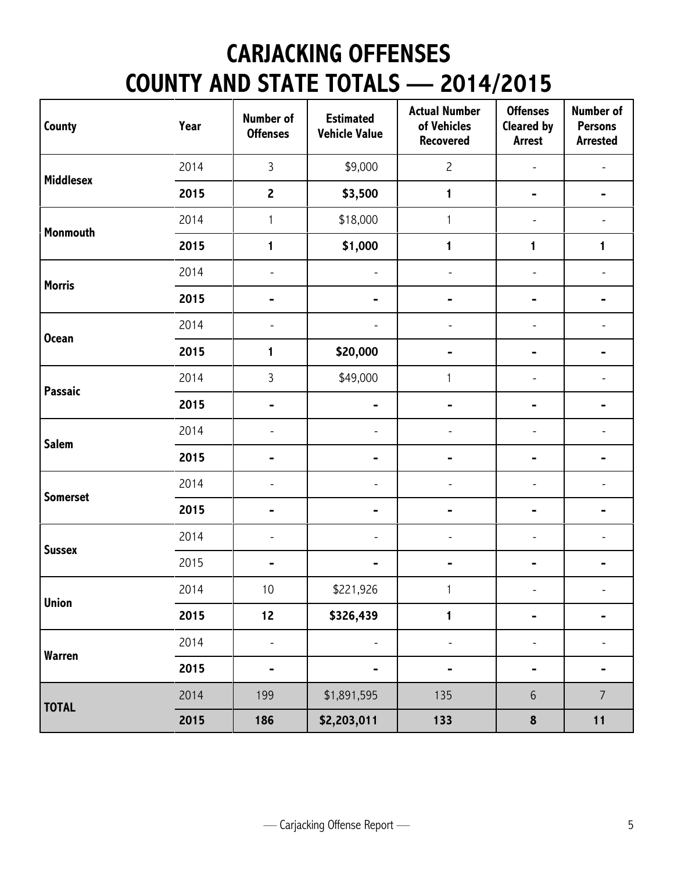## **CARJACKING OFFENSES COUNTY AND STATE TOTALS — 2014/2015**

| County           | Year | <b>Number of</b><br><b>Offenses</b> | <b>Estimated</b><br><b>Vehicle Value</b> | <b>Actual Number</b><br>of Vehicles<br><b>Recovered</b> | <b>Offenses</b><br><b>Cleared by</b><br><b>Arrest</b> | <b>Number of</b><br><b>Persons</b><br><b>Arrested</b> |
|------------------|------|-------------------------------------|------------------------------------------|---------------------------------------------------------|-------------------------------------------------------|-------------------------------------------------------|
| <b>Middlesex</b> | 2014 | $\overline{3}$                      | \$9,000                                  | $\overline{c}$                                          |                                                       |                                                       |
|                  | 2015 | $\overline{2}$                      | \$3,500                                  | $\mathbf{1}$                                            |                                                       |                                                       |
| Monmouth         | 2014 | $\mathbf{1}$                        | \$18,000                                 | $\mathbf{1}$                                            |                                                       |                                                       |
|                  | 2015 | 1                                   | \$1,000                                  | 1                                                       | 1                                                     | 1                                                     |
|                  | 2014 | ÷,                                  | $\overline{\phantom{a}}$                 |                                                         |                                                       |                                                       |
| <b>Morris</b>    | 2015 |                                     | -                                        |                                                         |                                                       |                                                       |
| <b>Ocean</b>     | 2014 |                                     |                                          |                                                         |                                                       |                                                       |
|                  | 2015 | 1                                   | \$20,000                                 |                                                         |                                                       |                                                       |
| Passaic          | 2014 | $\overline{3}$                      | \$49,000                                 | 1                                                       |                                                       |                                                       |
|                  | 2015 |                                     | -                                        |                                                         |                                                       |                                                       |
|                  | 2014 |                                     | $\overline{a}$                           |                                                         |                                                       |                                                       |
| <b>Salem</b>     | 2015 |                                     | -                                        |                                                         |                                                       |                                                       |
| <b>Somerset</b>  | 2014 |                                     | $\overline{a}$                           |                                                         |                                                       |                                                       |
|                  | 2015 |                                     | -                                        |                                                         |                                                       |                                                       |
| <b>Sussex</b>    | 2014 | L                                   | ÷,                                       |                                                         |                                                       |                                                       |
|                  | 2015 |                                     |                                          |                                                         |                                                       |                                                       |
| <b>Union</b>     | 2014 | 10                                  | \$221,926                                | 1                                                       |                                                       |                                                       |
|                  | 2015 | 12                                  | \$326,439                                | $\mathbf{1}$                                            |                                                       |                                                       |
| Warren           | 2014 | ÷,                                  | ÷,                                       |                                                         |                                                       |                                                       |
|                  | 2015 |                                     | -                                        |                                                         |                                                       |                                                       |
|                  | 2014 | 199                                 | \$1,891,595                              | 135                                                     | $\,$ 6 $\,$                                           | $\overline{7}$                                        |
| <b>TOTAL</b>     | 2015 | 186                                 | \$2,203,011                              | 133                                                     | $\pmb{8}$                                             | 11                                                    |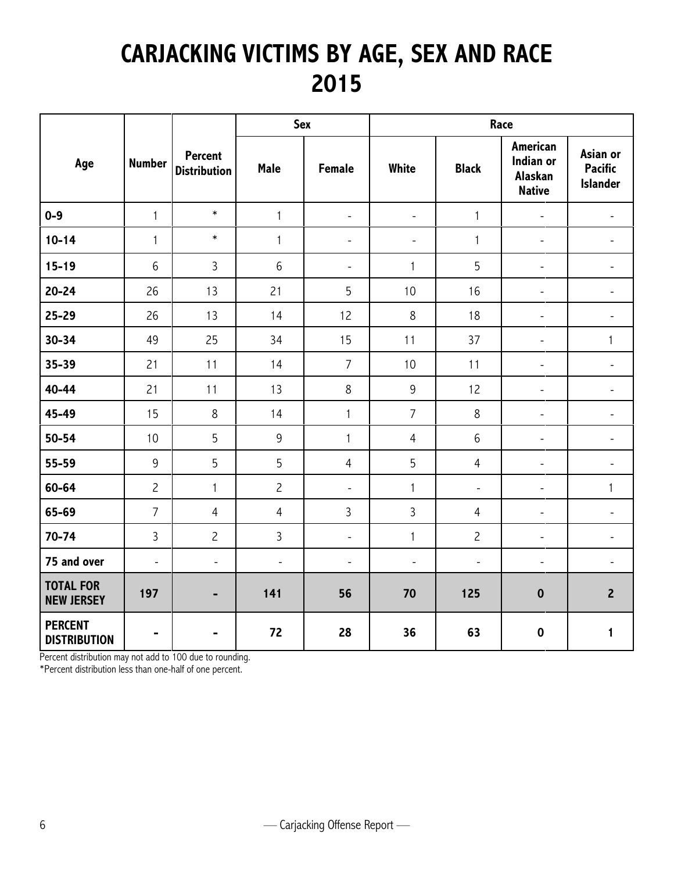#### **CARJACKING VICTIMS BY AGE, SEX AND RACE 2015**

|                                       |                          |                                       | <b>Sex</b>     |                          |                              | Race           |                                                          |                                               |  |
|---------------------------------------|--------------------------|---------------------------------------|----------------|--------------------------|------------------------------|----------------|----------------------------------------------------------|-----------------------------------------------|--|
| Age                                   | <b>Number</b>            | <b>Percent</b><br><b>Distribution</b> | Male           | <b>Female</b>            | White                        | <b>Black</b>   | <b>American</b><br>Indian or<br>Alaskan<br><b>Native</b> | Asian or<br><b>Pacific</b><br><b>Islander</b> |  |
| $0-9$                                 | $\mathbf{1}$             | $\ast$                                | $\mathbf{1}$   | $\blacksquare$           | $\blacksquare$               | $\mathbf{1}$   | $\overline{\phantom{a}}$                                 | $\overline{\phantom{a}}$                      |  |
| $10 - 14$                             | $\mathbf{1}$             | $\ast$                                | $\mathbf{1}$   | $\overline{\phantom{0}}$ | $\qquad \qquad \blacksquare$ | $\mathbf{1}$   | $\blacksquare$                                           |                                               |  |
| $15 - 19$                             | 6                        | 3                                     | 6              | $\frac{1}{2}$            | $\mathbf{1}$                 | 5              | $\overline{\phantom{a}}$                                 | $\overline{a}$                                |  |
| $20 - 24$                             | 26                       | 13                                    | 21             | 5                        | 10                           | 16             | $\overline{\phantom{a}}$                                 |                                               |  |
| 25-29                                 | 26                       | 13                                    | 14             | 12                       | 8                            | 18             | $\Box$                                                   | $\overline{\phantom{a}}$                      |  |
| $30 - 34$                             | 49                       | 25                                    | 34             | 15                       | 11                           | 37             | $\blacksquare$                                           | $\mathbf{1}$                                  |  |
| 35-39                                 | 21                       | 11                                    | 14             | $\overline{7}$           | 10                           | 11             | $\overline{\phantom{a}}$                                 | $\overline{\phantom{0}}$                      |  |
| $40 - 44$                             | 21                       | 11                                    | 13             | $\,8\,$                  | 9                            | 12             | $\overline{\phantom{a}}$                                 | $\overline{\phantom{a}}$                      |  |
| 45-49                                 | 15                       | $\,8\,$                               | 14             | $\mathbf{1}$             | $\overline{7}$               | 8              | $\overline{\phantom{a}}$                                 |                                               |  |
| $50 - 54$                             | 10                       | 5                                     | 9              | $\mathbf{1}$             | $\overline{4}$               | $6\,$          | $\blacksquare$                                           | $\overline{\phantom{0}}$                      |  |
| 55-59                                 | 9                        | 5                                     | 5              | $\overline{4}$           | 5                            | $\overline{4}$ | $\overline{\phantom{a}}$                                 | $\overline{a}$                                |  |
| 60-64                                 | $\overline{c}$           | $\mathbf{1}$                          | $\overline{c}$ | $\blacksquare$           | $\mathbf{1}$                 | $\frac{1}{2}$  | $\blacksquare$                                           | $\mathbf{1}$                                  |  |
| 65-69                                 | $\overline{7}$           | $\overline{4}$                        | $\overline{4}$ | 3                        | 3                            | $\overline{4}$ | $\overline{\phantom{a}}$                                 | $\overline{\phantom{0}}$                      |  |
| $70 - 74$                             | $\mathbf{3}$             | $\overline{c}$                        | 3              | $\overline{\phantom{a}}$ | $\mathbf{1}$                 | $\overline{c}$ | $\overline{\phantom{a}}$                                 |                                               |  |
| 75 and over                           | $\overline{\phantom{a}}$ | $\blacksquare$                        | $\blacksquare$ | $\blacksquare$           | $\blacksquare$               | $\blacksquare$ | $\blacksquare$                                           | $\overline{\phantom{a}}$                      |  |
| <b>TOTAL FOR</b><br><b>NEW JERSEY</b> | 197                      | -                                     | 141            | 56                       | 70                           | 125            | $\bf{0}$                                                 | $\overline{2}$                                |  |
| <b>PERCENT</b><br><b>DISTRIBUTION</b> | $\blacksquare$           |                                       | 72             | 28                       | 36                           | 63             | $\mathbf 0$                                              | $\mathbf{1}$                                  |  |

Percent distribution may not add to 100 due to rounding.

\*Percent distribution less than one-half of one percent.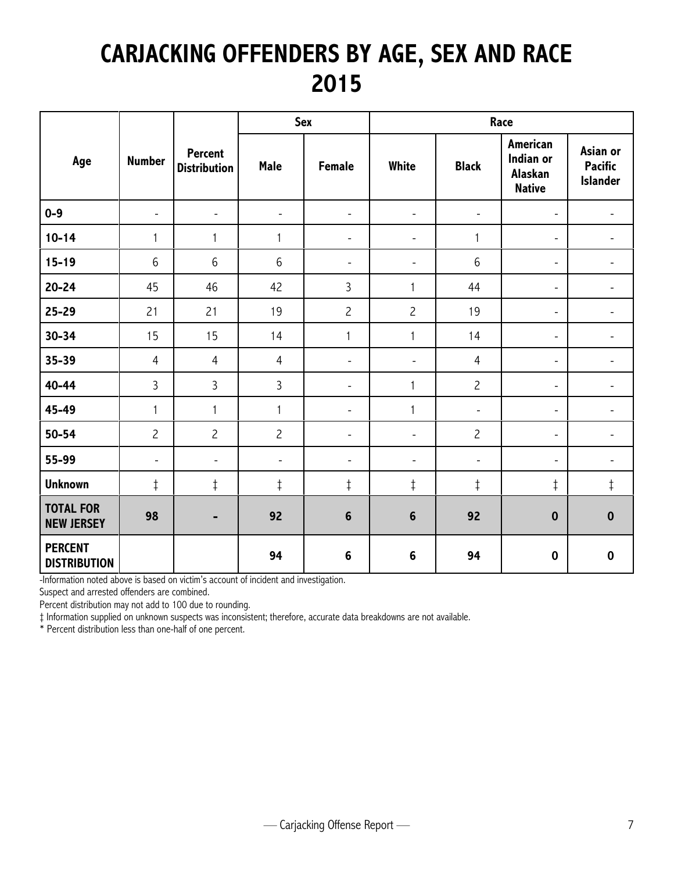### **CARJACKING OFFENDERS BY AGE, SEX AND RACE 2015**

|                                       |                          |                                       |                              | Sex                      | Race                     |                          |                                                          |                                               |  |
|---------------------------------------|--------------------------|---------------------------------------|------------------------------|--------------------------|--------------------------|--------------------------|----------------------------------------------------------|-----------------------------------------------|--|
| Age                                   | <b>Number</b>            | <b>Percent</b><br><b>Distribution</b> | <b>Male</b>                  | <b>Female</b>            | White                    | <b>Black</b>             | <b>American</b><br>Indian or<br>Alaskan<br><b>Native</b> | Asian or<br><b>Pacific</b><br><b>Islander</b> |  |
| $0-9$                                 | $\overline{\phantom{a}}$ | $\overline{\phantom{a}}$              | $\overline{\phantom{a}}$     | $\overline{\phantom{a}}$ | $\overline{\phantom{a}}$ | $\overline{\phantom{a}}$ | $\overline{\phantom{a}}$                                 | -                                             |  |
| $10 - 14$                             | 1                        | 1                                     | $\mathbf{1}$                 | $\overline{a}$           | $\overline{a}$           | 1                        | $\blacksquare$                                           |                                               |  |
| $15 - 19$                             | 6                        | 6                                     | 6                            | $\overline{\phantom{0}}$ | $\overline{\phantom{a}}$ | 6                        | $\overline{a}$                                           |                                               |  |
| $20 - 24$                             | 45                       | 46                                    | 42                           | $\overline{3}$           | 1                        | 44                       | $\overline{\phantom{a}}$                                 |                                               |  |
| 25-29                                 | 21                       | 21                                    | 19                           | $\overline{c}$           | $\overline{c}$           | 19                       | $\overline{\phantom{a}}$                                 |                                               |  |
| $30 - 34$                             | 15                       | 15                                    | 14                           | 1                        | 1                        | 14                       | $\overline{\phantom{a}}$                                 |                                               |  |
| 35-39                                 | $\overline{4}$           | $\overline{4}$                        | $\overline{4}$               | $\overline{\phantom{a}}$ | $\overline{\phantom{a}}$ | $\overline{4}$           | $\overline{\phantom{a}}$                                 | -                                             |  |
| 40-44                                 | 3                        | 3                                     | 3                            | $\overline{\phantom{a}}$ | 1                        | $\overline{c}$           | $\overline{\phantom{a}}$                                 | -                                             |  |
| 45-49                                 | $\mathbf{1}$             | $\mathbf{1}$                          | $\mathbf{1}$                 | $\overline{\phantom{a}}$ | $\mathbf{1}$             | $\blacksquare$           | $\overline{\phantom{a}}$                                 | $\overline{\phantom{a}}$                      |  |
| $50 - 54$                             | $\overline{c}$           | $\overline{c}$                        | $\overline{c}$               | $\overline{\phantom{a}}$ | $\overline{\phantom{a}}$ | $\overline{c}$           | $\overline{\phantom{a}}$                                 | $\overline{\phantom{0}}$                      |  |
| 55-99                                 | $\overline{\phantom{a}}$ | $\overline{\phantom{0}}$              | $\qquad \qquad \blacksquare$ | $\overline{\phantom{a}}$ | $\overline{\phantom{a}}$ | $\blacksquare$           | $\overline{\phantom{a}}$                                 | $\overline{\phantom{0}}$                      |  |
| <b>Unknown</b>                        | $\ddagger$               | $\ddagger$                            | $\ddagger$                   | $\ddagger$               | $\ddagger$               | $\ddagger$               | $\ddagger$                                               | $\ddagger$                                    |  |
| <b>TOTAL FOR</b><br><b>NEW JERSEY</b> | 98                       |                                       | 92                           | $6\phantom{1}6$          | $6\phantom{1}6$          | 92                       | $\boldsymbol{0}$                                         | $\bf{0}$                                      |  |
| <b>PERCENT</b><br><b>DISTRIBUTION</b> |                          |                                       | 94                           | $6\phantom{1}$           | $6\phantom{1}6$          | 94                       | $\boldsymbol{0}$                                         | $\mathbf 0$                                   |  |

-Information noted above is based on victim's account of incident and investigation.

Suspect and arrested offenders are combined.

Percent distribution may not add to 100 due to rounding.

‡ Information supplied on unknown suspects was inconsistent; therefore, accurate data breakdowns are not available.

\* Percent distribution less than one-half of one percent.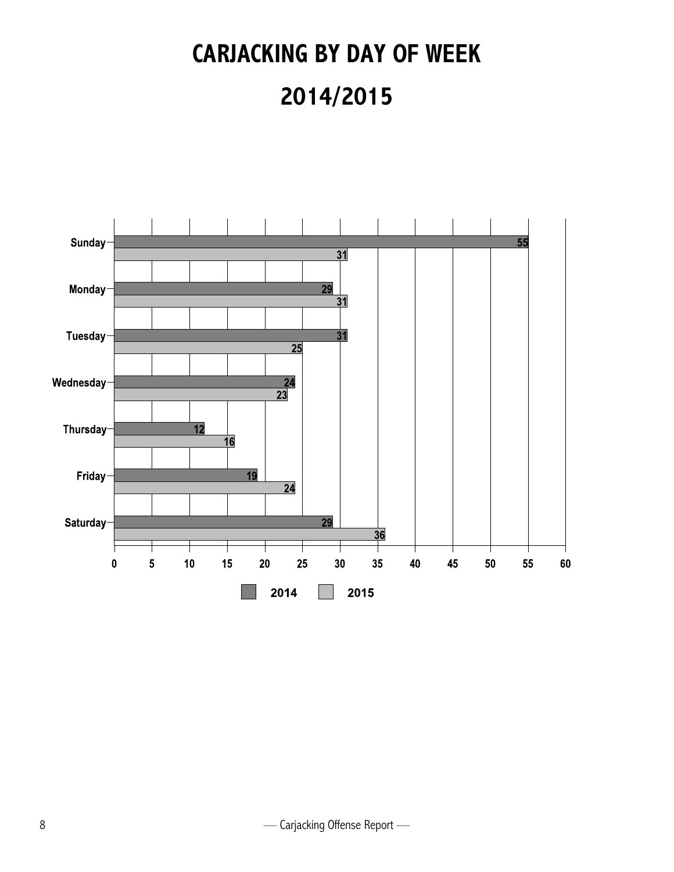# **CARJACKING BY DAY OF WEEK 2014/2015**

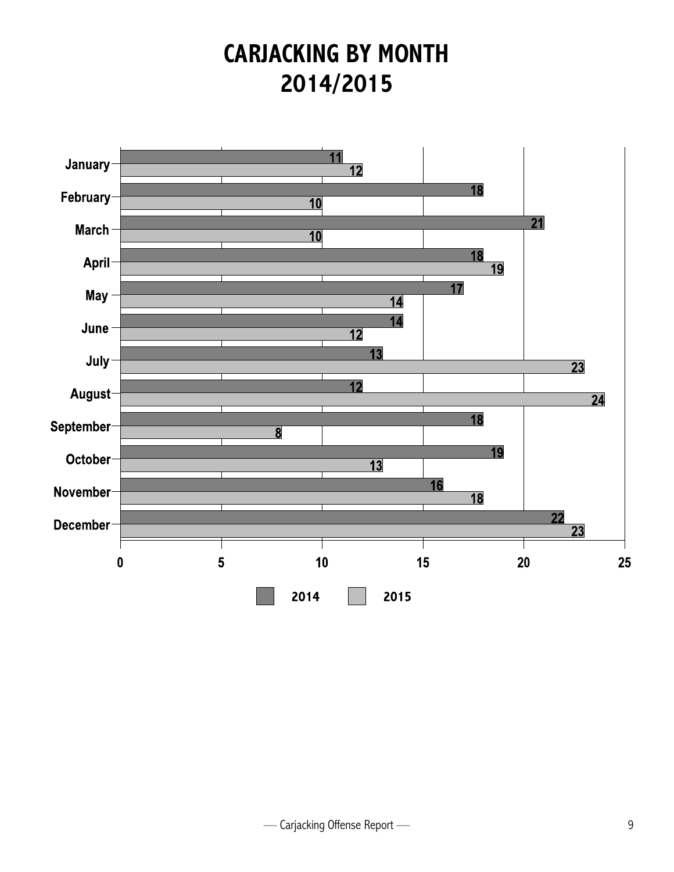#### **CARJACKING BY MONTH 2014/2015**

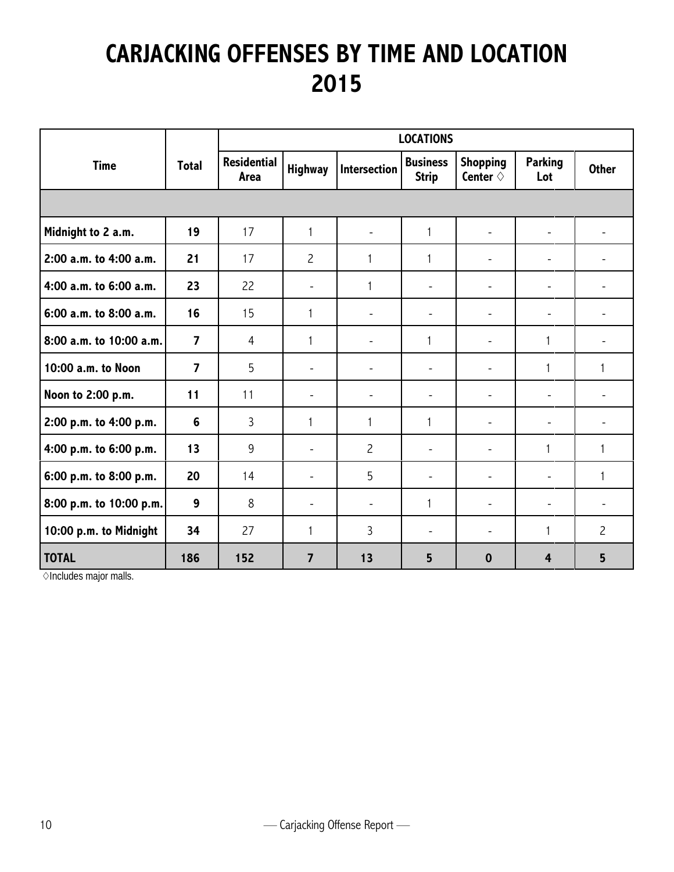### **CARJACKING OFFENSES BY TIME AND LOCATION 2015**

|                         |                |                            | <b>LOCATIONS</b>         |                          |                                 |                                      |                          |                          |  |  |
|-------------------------|----------------|----------------------------|--------------------------|--------------------------|---------------------------------|--------------------------------------|--------------------------|--------------------------|--|--|
| <b>Time</b>             | <b>Total</b>   | <b>Residential</b><br>Area | <b>Highway</b>           | Intersection             | <b>Business</b><br><b>Strip</b> | <b>Shopping</b><br>Center $\diamond$ | <b>Parking</b><br>Lot    | <b>Other</b>             |  |  |
|                         |                |                            |                          |                          |                                 |                                      |                          |                          |  |  |
| Midnight to 2 a.m.      | 19             | 17                         | $\mathbf{1}$             | ۰                        | $\mathbf{1}$                    | $\overline{\phantom{a}}$             | $\overline{\phantom{a}}$ |                          |  |  |
| 2:00 a.m. to 4:00 a.m.  | 21             | 17                         | $\overline{c}$           | 1                        | 1                               | $\overline{\phantom{a}}$             | $\overline{\phantom{a}}$ | -                        |  |  |
| 4:00 a.m. to 6:00 a.m.  | 23             | 22                         | $\overline{\phantom{a}}$ | 1                        | $\overline{\phantom{a}}$        | $\overline{\phantom{a}}$             | $\overline{\phantom{a}}$ |                          |  |  |
| 6:00 a.m. to 8:00 a.m.  | 16             | 15                         | 1                        | ۰                        | $\overline{\phantom{a}}$        | $\overline{\phantom{a}}$             | $\overline{\phantom{a}}$ | ÷,                       |  |  |
| 8:00 a.m. to 10:00 a.m. | $\overline{7}$ | $\overline{4}$             | $\mathbf{1}$             | $\overline{\phantom{a}}$ | 1                               | $\overline{\phantom{a}}$             | $\mathbf{1}$             | $\overline{\phantom{a}}$ |  |  |
| 10:00 a.m. to Noon      | $\overline{7}$ | 5                          | $\overline{\phantom{a}}$ | $\overline{\phantom{0}}$ | $\qquad \qquad -$               | $\overline{\phantom{a}}$             | $\mathbf{1}$             | 1                        |  |  |
| Noon to 2:00 p.m.       | 11             | 11                         | $\overline{\phantom{a}}$ | $\overline{\phantom{a}}$ | $\overline{\phantom{a}}$        | $\overline{\phantom{a}}$             | $\qquad \qquad -$        | ۰                        |  |  |
| 2:00 p.m. to 4:00 p.m.  | 6              | 3                          | $\mathbf{1}$             | $\mathbf{1}$             | 1                               | $\overline{\phantom{a}}$             | $\overline{\phantom{a}}$ | -                        |  |  |
| 4:00 p.m. to 6:00 p.m.  | 13             | 9                          | $\overline{\phantom{a}}$ | $\overline{c}$           | $\overline{\phantom{a}}$        | $\blacksquare$                       | 1                        | $\mathbf{1}$             |  |  |
| 6:00 p.m. to 8:00 p.m.  | 20             | 14                         | $\overline{\phantom{0}}$ | 5                        | $\overline{a}$                  | $\overline{\phantom{a}}$             | $\overline{\phantom{a}}$ | 1                        |  |  |
| 8:00 p.m. to 10:00 p.m. | 9              | 8                          | $\overline{\phantom{a}}$ | $\overline{\phantom{a}}$ | $\mathbf{1}$                    | $\overline{\phantom{a}}$             | $\overline{\phantom{a}}$ | $\overline{\phantom{a}}$ |  |  |
| 10:00 p.m. to Midnight  | 34             | 27                         | 1                        | 3                        | $\overline{\phantom{a}}$        | $\overline{\phantom{a}}$             | 1                        | $\overline{c}$           |  |  |
| <b>TOTAL</b>            | 186            | 152                        | $\overline{7}$           | 13                       | 5                               | $\boldsymbol{0}$                     | $\overline{4}$           | 5                        |  |  |

OIncludes major malls.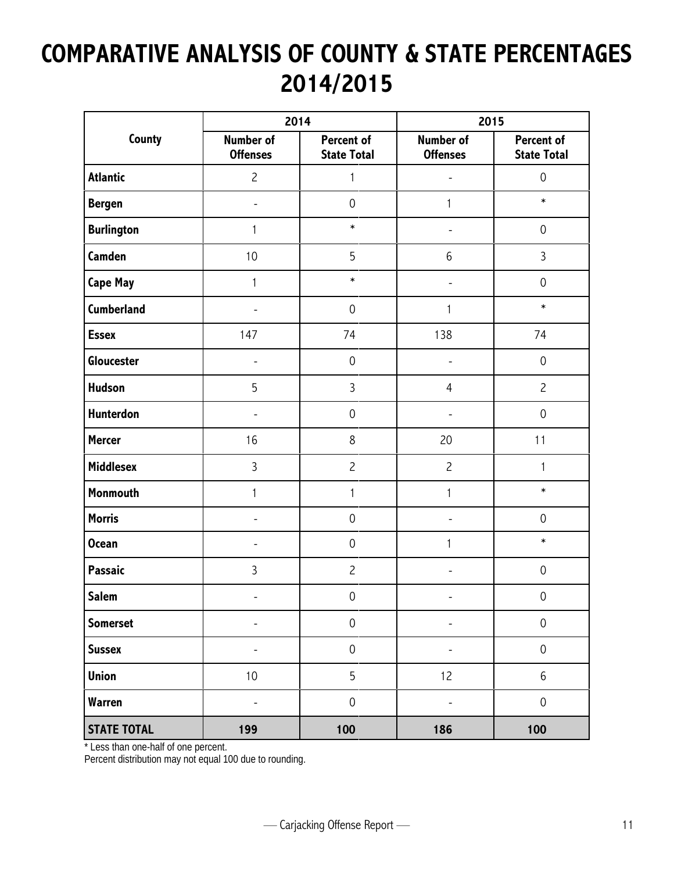### **COMPARATIVE ANALYSIS OF COUNTY & STATE PERCENTAGES 2014/2015**

|                    |                                     | 2014                             | 2015                                |                                  |
|--------------------|-------------------------------------|----------------------------------|-------------------------------------|----------------------------------|
| County             | <b>Number of</b><br><b>Offenses</b> | Percent of<br><b>State Total</b> | <b>Number of</b><br><b>Offenses</b> | Percent of<br><b>State Total</b> |
| <b>Atlantic</b>    | $\overline{c}$                      | 1                                |                                     | $\mathbf 0$                      |
| <b>Bergen</b>      | $\overline{\phantom{m}}$            | $\mathbf 0$                      | 1                                   | $\ast$                           |
| <b>Burlington</b>  | 1                                   | $\ast$                           | -                                   | $\mathbf 0$                      |
| Camden             | 10                                  | 5                                | $6\,$                               | 3                                |
| <b>Cape May</b>    | 1                                   | $\ast$                           | $\overline{a}$                      | $\mathbf 0$                      |
| <b>Cumberland</b>  | ٠                                   | $\mathbf 0$                      | 1                                   | $\ast$                           |
| <b>Essex</b>       | 147                                 | 74                               | 138                                 | 74                               |
| Gloucester         | ٠                                   | $\mathbf 0$                      | -                                   | $\mathsf{O}\xspace$              |
| <b>Hudson</b>      | 5                                   | 3                                | $\overline{4}$                      | $\overline{c}$                   |
| Hunterdon          | L,                                  | $\mathsf{O}\xspace$              | ÷,                                  | $\mathsf{O}\xspace$              |
| <b>Mercer</b>      | 16                                  | 8                                | 20                                  | 11                               |
| <b>Middlesex</b>   | $\overline{3}$                      | $\overline{c}$                   | $\overline{c}$                      | $\mathbf{1}$                     |
| Monmouth           | 1                                   | $\mathbf{1}$                     | $\mathbf 1$                         | $\ast$                           |
| <b>Morris</b>      | ÷,                                  | $\mathsf{O}\xspace$              |                                     | $\mathsf{O}\xspace$              |
| <b>Ocean</b>       | -                                   | $\mathsf{O}\xspace$              | 1                                   | $\ast$                           |
| Passaic            | $\mathfrak{Z}$                      | $\overline{c}$                   |                                     | $\mathsf{O}\xspace$              |
| <b>Salem</b>       | $\overline{\phantom{0}}$            | $\pmb{0}$                        |                                     | $\mbox{O}$                       |
| <b>Somerset</b>    | $\overline{\phantom{0}}$            | $\mathsf{O}\xspace$              | $\qquad \qquad \blacksquare$        | $\mbox{O}$                       |
| <b>Sussex</b>      | -                                   | $\mathsf{O}\xspace$              | -                                   | $\mbox{O}$                       |
| <b>Union</b>       | 10                                  | 5                                | 12                                  | $\boldsymbol{6}$                 |
| <b>Warren</b>      | $\overline{\phantom{0}}$            | $\mathsf{O}\xspace$              | $\qquad \qquad \blacksquare$        | $\mathsf{O}\xspace$              |
| <b>STATE TOTAL</b> | 199                                 | 100                              | 186                                 | 100                              |

\* Less than one-half of one percent.

Percent distribution may not equal 100 due to rounding.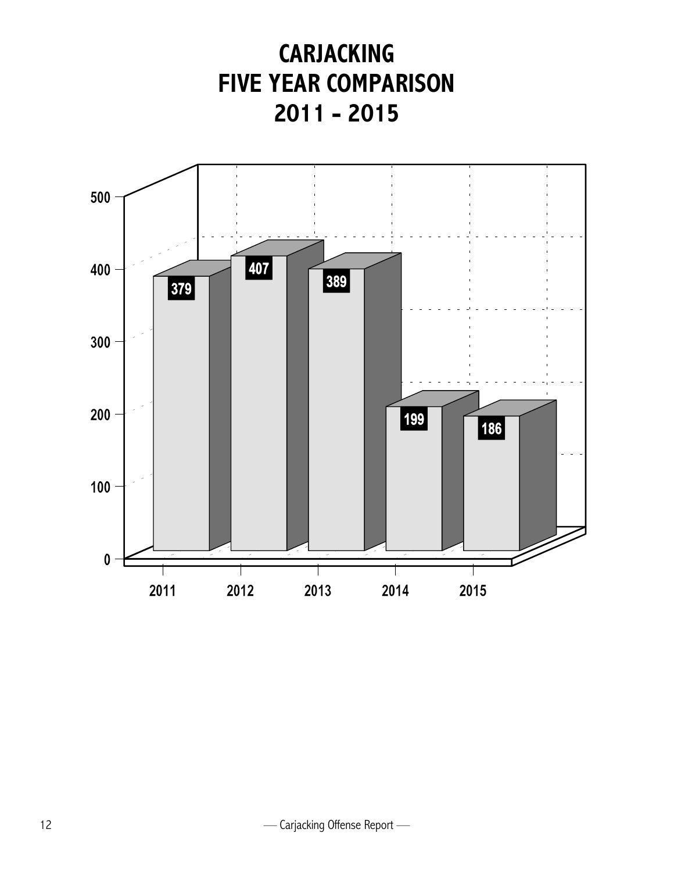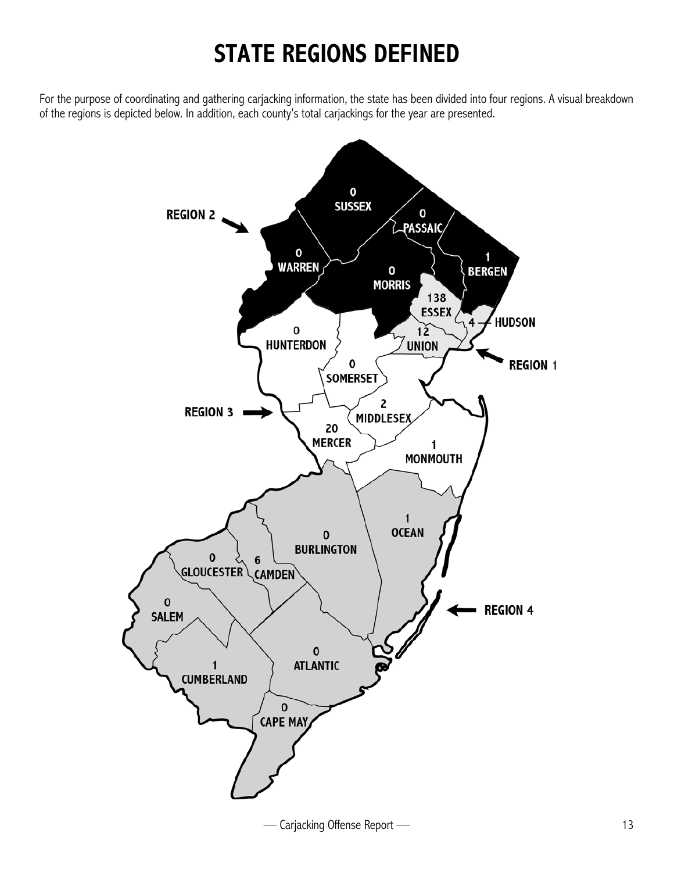### **STATE REGIONS DEFINED**

For the purpose of coordinating and gathering carjacking information, the state has been divided into four regions. A visual breakdown of the regions is depicted below. In addition, each county's total carjackings for the year are presented.

![](_page_16_Figure_2.jpeg)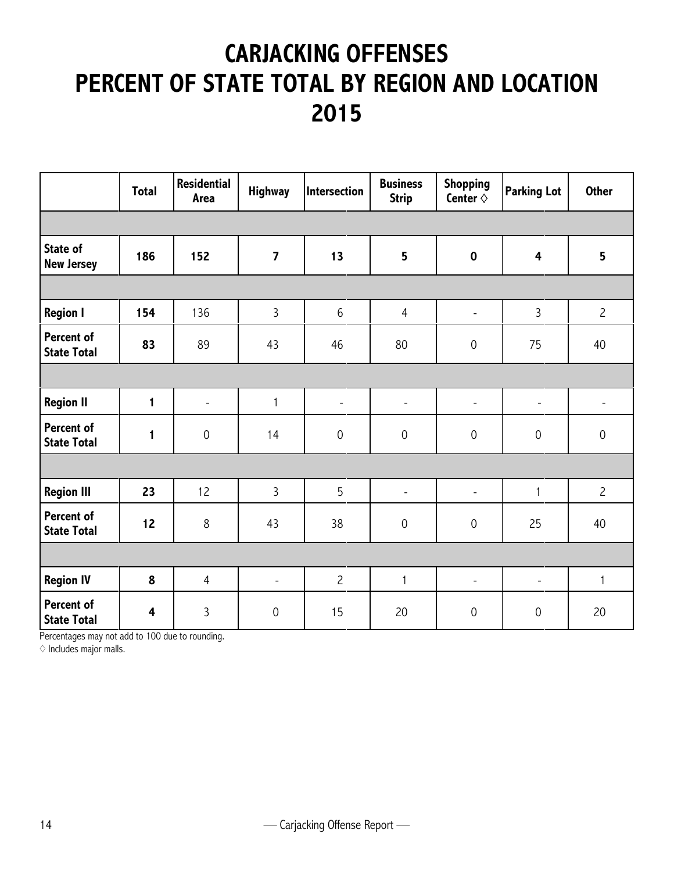### **CARJACKING OFFENSES PERCENT OF STATE TOTAL BY REGION AND LOCATION 2015**

|                                         | <b>Total</b>            | <b>Residential</b><br><b>Area</b> | <b>Highway</b>           | Intersection             | <b>Business</b><br><b>Strip</b> | <b>Shopping</b><br>Center $\diamond$ | <b>Parking Lot</b>       | <b>Other</b>   |
|-----------------------------------------|-------------------------|-----------------------------------|--------------------------|--------------------------|---------------------------------|--------------------------------------|--------------------------|----------------|
|                                         |                         |                                   |                          |                          |                                 |                                      |                          |                |
| <b>State of</b><br><b>New Jersey</b>    | 186                     | 152                               | $\overline{\mathbf{z}}$  | 13                       | 5                               | $\pmb{0}$                            | $\overline{\mathbf{4}}$  | 5              |
|                                         |                         |                                   |                          |                          |                                 |                                      |                          |                |
| <b>Region I</b>                         | 154                     | 136                               | 3                        | $6\,$                    | $\overline{4}$                  | $\overline{\phantom{a}}$             | $\overline{3}$           | $\overline{c}$ |
| Percent of<br><b>State Total</b>        | 83                      | 89                                | 43                       | 46                       | 80                              | $\mathsf{O}\xspace$                  | 75                       | 40             |
|                                         |                         |                                   |                          |                          |                                 |                                      |                          |                |
| <b>Region II</b>                        | $\blacksquare$          | $\blacksquare$                    | $\mathbf{1}$             | $\overline{\phantom{a}}$ | $\overline{\phantom{a}}$        | $\overline{\phantom{a}}$             | $\overline{\phantom{a}}$ | ٠              |
| Percent of<br><b>State Total</b>        | 1                       | $\mathsf{O}\xspace$               | 14                       | $\mathbf 0$              | $\mathbf 0$                     | $\mathsf{O}\xspace$                  | $\mathbf 0$              | $\mathbf 0$    |
|                                         |                         |                                   |                          |                          |                                 |                                      |                          |                |
| <b>Region III</b>                       | 23                      | 12                                | 3                        | $5\overline{)}$          | $\overline{\phantom{a}}$        | $\overline{\phantom{a}}$             | $\mathbf{1}$             | $\overline{c}$ |
| Percent of<br><b>State Total</b>        | 12                      | $\,8$                             | 43                       | 38                       | $\mathbf 0$                     | $\mathsf{O}\xspace$                  | 25                       | 40             |
|                                         |                         |                                   |                          |                          |                                 |                                      |                          |                |
| <b>Region IV</b>                        | 8                       | $\overline{4}$                    | $\overline{\phantom{a}}$ | $\overline{c}$           | $\mathbf{1}$                    | $\blacksquare$                       | $\overline{\phantom{a}}$ | $\mathbf{1}$   |
| <b>Percent of</b><br><b>State Total</b> | $\overline{\mathbf{4}}$ | 3                                 | $\mathbf 0$              | 15                       | 20                              | 0                                    | $\mathsf{O}\xspace$      | 20             |

Percentages may not add to 100 due to rounding.

 $\diamond$  Includes major malls.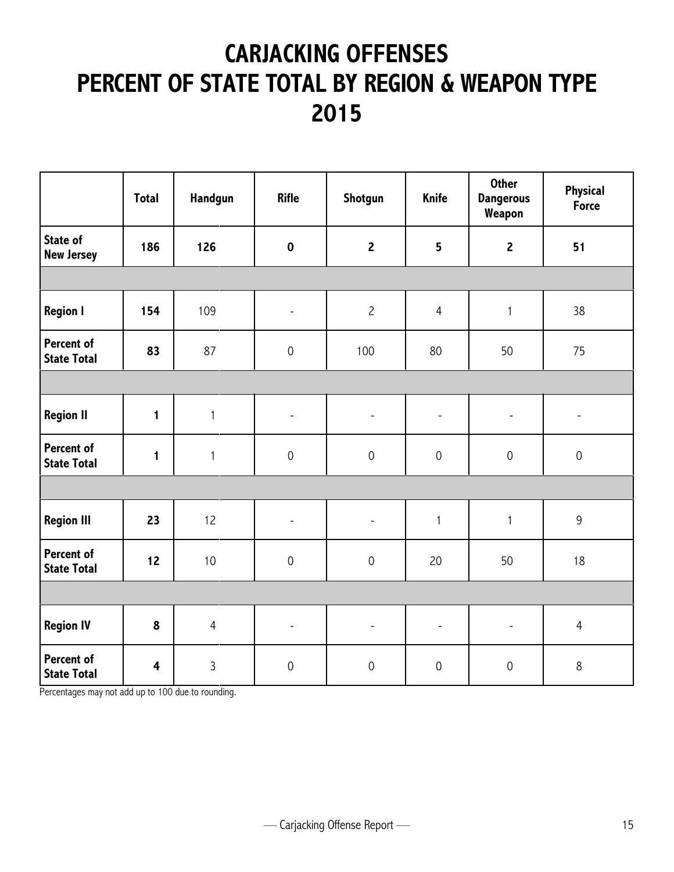### **CARJACKING OFFENSES PERCENT OF STATE TOTAL BY REGION & WEAPON TYPE 2015**

|                                  | <b>Total</b>            | Handgun        | <b>Rifle</b>             | Shotgun                  | Knife                    | <b>Other</b><br><b>Dangerous</b><br>Weapon | Physical<br><b>Force</b>     |
|----------------------------------|-------------------------|----------------|--------------------------|--------------------------|--------------------------|--------------------------------------------|------------------------------|
| State of<br><b>New Jersey</b>    | 186                     | 126            | $\mathbf 0$              | $\mathbf{2}$             | 5                        | $\mathbf{2}$                               | 51                           |
|                                  |                         |                |                          |                          |                          |                                            |                              |
| <b>Region I</b>                  | 154                     | 109            | $\overline{\phantom{a}}$ | $\overline{c}$           | $\overline{4}$           | $\mathbf{1}$                               | 38                           |
| Percent of<br><b>State Total</b> | 83                      | 87             | $\mathsf{O}\xspace$      | 100                      | 80                       | 50                                         | 75                           |
|                                  |                         |                |                          |                          |                          |                                            |                              |
| <b>Region II</b>                 | $\mathbf{1}$            | $\mathbf{1}$   | $\overline{\phantom{a}}$ | $\overline{\phantom{a}}$ | $\overline{\phantom{a}}$ | $\overline{\phantom{a}}$                   | $\qquad \qquad \blacksquare$ |
| Percent of<br><b>State Total</b> | $\mathbf{1}$            | $\mathbf{1}$   | $\boldsymbol{0}$         | $\mathsf{O}\xspace$      | $\mathbf 0$              | $\mathsf{O}\xspace$                        | $\mathbf 0$                  |
|                                  |                         |                |                          |                          |                          |                                            |                              |
| <b>Region III</b>                | 23                      | 12             | $\blacksquare$           | $\overline{\phantom{a}}$ | $\mathbf{1}$             | $\mathbf{1}$                               | $\mathsf 9$                  |
| Percent of<br><b>State Total</b> | 12                      | 10             | $\mathsf{O}\xspace$      | $\mathsf{O}\xspace$      | 20                       | 50                                         | 18                           |
|                                  |                         |                |                          |                          |                          |                                            |                              |
| <b>Region IV</b>                 | 8                       | $\overline{4}$ | $\overline{\phantom{a}}$ | $\overline{\phantom{0}}$ | $\overline{\phantom{a}}$ | $\overline{\phantom{a}}$                   | $\overline{4}$               |
| Percent of<br><b>State Total</b> | $\overline{\mathbf{4}}$ | 3              | $\mathsf{O}\xspace$      | $\mathsf{O}\xspace$      | $\mathbf 0$              | $\mathsf{O}\xspace$                        | $\,8\,$                      |

Percentages may not add up to 100 due to rounding.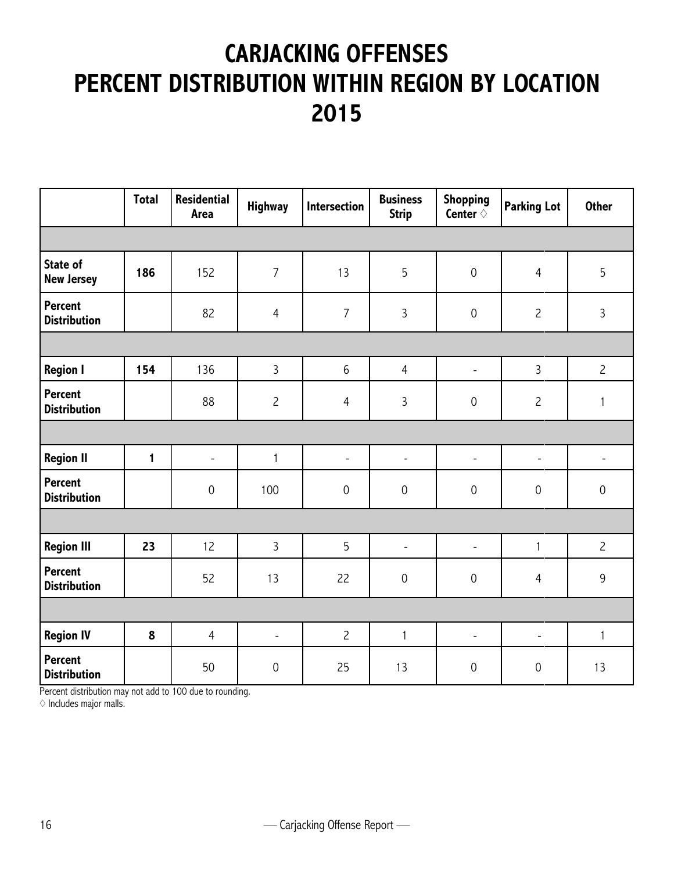### **CARJACKING OFFENSES PERCENT DISTRIBUTION WITHIN REGION BY LOCATION 2015**

|                                       | <b>Total</b> | <b>Residential</b><br><b>Area</b> | <b>Highway</b>      | Intersection             | <b>Business</b><br><b>Strip</b> | <b>Shopping</b><br>Center $\diamond$ | <b>Parking Lot</b>       | <b>Other</b>        |
|---------------------------------------|--------------|-----------------------------------|---------------------|--------------------------|---------------------------------|--------------------------------------|--------------------------|---------------------|
|                                       |              |                                   |                     |                          |                                 |                                      |                          |                     |
| State of<br><b>New Jersey</b>         | 186          | 152                               | $\overline{7}$      | 13                       | 5                               | $\mathsf{O}\xspace$                  | $\overline{4}$           | 5                   |
| <b>Percent</b><br><b>Distribution</b> |              | 82                                | $\overline{4}$      | $\overline{7}$           | $\overline{3}$                  | $\mathsf{O}\xspace$                  | $\overline{c}$           | $\overline{3}$      |
|                                       |              |                                   |                     |                          |                                 |                                      |                          |                     |
| <b>Region I</b>                       | 154          | 136                               | $\overline{3}$      | $\,6\,$                  | $\overline{4}$                  | $\overline{\phantom{a}}$             | $\mathbf{3}$             | $\overline{c}$      |
| <b>Percent</b><br><b>Distribution</b> |              | 88                                | $\overline{c}$      | $\overline{4}$           | $\mathbf{3}$                    | $\mathsf{O}\xspace$                  | $\overline{c}$           | $\mathbf{1}$        |
|                                       |              |                                   |                     |                          |                                 |                                      |                          |                     |
| <b>Region II</b>                      | $\mathbf{1}$ | $\overline{\phantom{a}}$          | $\mathbf{1}$        | $\overline{\phantom{a}}$ | $\overline{\phantom{a}}$        | $\overline{\phantom{a}}$             | $\overline{\phantom{a}}$ | $\qquad \qquad -$   |
| <b>Percent</b><br><b>Distribution</b> |              | $\mathsf{O}\xspace$               | 100                 | $\mathsf{O}\xspace$      | $\mathsf{O}\xspace$             | $\mathsf{O}\xspace$                  | $\boldsymbol{0}$         | $\mathsf{O}\xspace$ |
|                                       |              |                                   |                     |                          |                                 |                                      |                          |                     |
| <b>Region III</b>                     | 23           | 12                                | $\overline{3}$      | 5                        | $\overline{\phantom{a}}$        | $\overline{\phantom{m}}$             | $\mathbf{1}$             | $\overline{c}$      |
| <b>Percent</b><br><b>Distribution</b> |              | 52                                | 13                  | 22                       | $\mathsf{O}\xspace$             | $\mathsf{O}\xspace$                  | $\overline{4}$           | 9                   |
|                                       |              |                                   |                     |                          |                                 |                                      |                          |                     |
| <b>Region IV</b>                      | 8            | $\overline{4}$                    | $\blacksquare$      | $\overline{c}$           | $\mathbf{1}$                    | $\overline{\phantom{a}}$             | $\blacksquare$           | $\mathbf{1}$        |
| <b>Percent</b><br><b>Distribution</b> |              | 50                                | $\mathsf{O}\xspace$ | 25                       | 13                              | $\mathsf{O}\xspace$                  | $\mathbf 0$              | 13                  |

Percent distribution may not add to 100 due to rounding.

 $\diamond$  Includes major malls.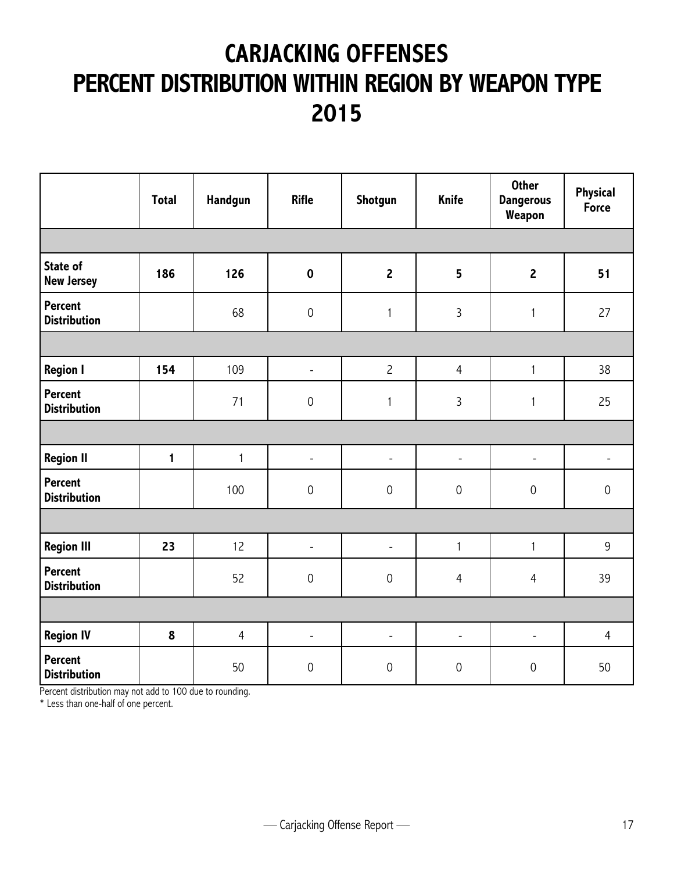### **CARJACKING OFFENSES PERCENT DISTRIBUTION WITHIN REGION BY WEAPON TYPE 2015**

|                                       | <b>Total</b> | Handgun        | <b>Rifle</b>        | Shotgun                  | <b>Knife</b>        | <b>Other</b><br><b>Dangerous</b><br>Weapon | Physical<br><b>Force</b> |
|---------------------------------------|--------------|----------------|---------------------|--------------------------|---------------------|--------------------------------------------|--------------------------|
|                                       |              |                |                     |                          |                     |                                            |                          |
| <b>State of</b><br><b>New Jersey</b>  | 186          | 126            | $\mathbf 0$         | $\overline{2}$           | $5\phantom{a}$      | $\overline{2}$                             | 51                       |
| <b>Percent</b><br><b>Distribution</b> |              | 68             | $\mathsf{O}\xspace$ | $\mathbf{1}$             | $\overline{3}$      | $\mathbf{1}$                               | 27                       |
|                                       |              |                |                     |                          |                     |                                            |                          |
| <b>Region I</b>                       | 154          | 109            | $\frac{1}{2}$       | $\overline{c}$           | $\overline{4}$      | $\mathbf{1}$                               | 38                       |
| <b>Percent</b><br><b>Distribution</b> |              | 71             | $\mathbf 0$         | 1                        | $\overline{3}$      | 1                                          | 25                       |
|                                       |              |                |                     |                          |                     |                                            |                          |
| <b>Region II</b>                      | $\mathbf{1}$ | $\mathbf{1}$   | $\frac{1}{2}$       | $\overline{\phantom{a}}$ | $\blacksquare$      | $\overline{\phantom{a}}$                   | $\overline{\phantom{0}}$ |
| <b>Percent</b><br><b>Distribution</b> |              | 100            | $\mathsf{O}\xspace$ | $\mathbf 0$              | $\mathbf 0$         | $\mathbf 0$                                | $\mathbf 0$              |
|                                       |              |                |                     |                          |                     |                                            |                          |
| <b>Region III</b>                     | 23           | 12             | $\frac{1}{2}$       | $\blacksquare$           | $\mathbf{1}$        | $\mathbf{1}$                               | 9                        |
| Percent<br><b>Distribution</b>        |              | 52             | $\mathbf 0$         | $\mathbf 0$              | $\overline{4}$      | $\overline{4}$                             | 39                       |
|                                       |              |                |                     |                          |                     |                                            |                          |
| <b>Region IV</b>                      | 8            | $\overline{4}$ | $\frac{1}{2}$       | $\blacksquare$           | $\bar{\phantom{a}}$ | $\blacksquare$                             | $\overline{4}$           |
| Percent<br><b>Distribution</b>        |              | 50             | $\mathsf{O}\xspace$ | $\mathbf 0$              | $\mathbf 0$         | $\mathsf{O}\xspace$                        | 50                       |

Percent distribution may not add to 100 due to rounding.

\* Less than one-half of one percent.